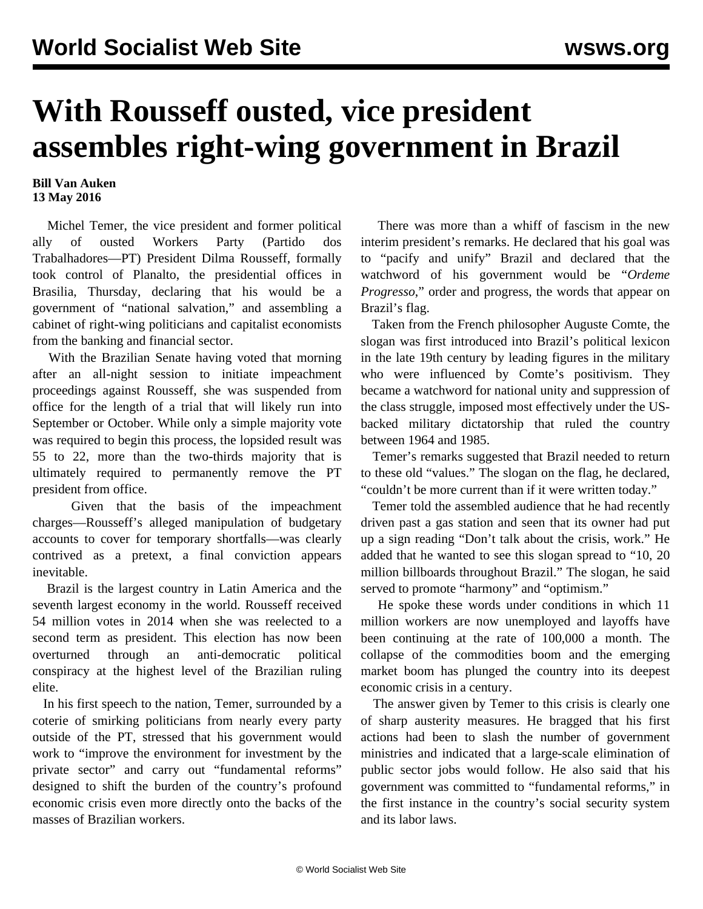## **With Rousseff ousted, vice president assembles right-wing government in Brazil**

## **Bill Van Auken 13 May 2016**

 Michel Temer, the vice president and former political ally of ousted Workers Party (Partido dos Trabalhadores—PT) President Dilma Rousseff, formally took control of Planalto, the presidential offices in Brasilia, Thursday, declaring that his would be a government of "national salvation," and assembling a cabinet of right-wing politicians and capitalist economists from the banking and financial sector.

 With the Brazilian Senate having voted that morning after an all-night session to initiate impeachment proceedings against Rousseff, she was suspended from office for the length of a trial that will likely run into September or October. While only a simple majority vote was required to begin this process, the lopsided result was 55 to 22, more than the two-thirds majority that is ultimately required to permanently remove the PT president from office.

 Given that the basis of the impeachment charges—Rousseff's alleged manipulation of budgetary accounts to cover for temporary shortfalls—was clearly contrived as a pretext, a final conviction appears inevitable.

 Brazil is the largest country in Latin America and the seventh largest economy in the world. Rousseff received 54 million votes in 2014 when she was reelected to a second term as president. This election has now been overturned through an anti-democratic political conspiracy at the highest level of the Brazilian ruling elite.

 In his first speech to the nation, Temer, surrounded by a coterie of smirking politicians from nearly every party outside of the PT, stressed that his government would work to "improve the environment for investment by the private sector" and carry out "fundamental reforms" designed to shift the burden of the country's profound economic crisis even more directly onto the backs of the masses of Brazilian workers.

 There was more than a whiff of fascism in the new interim president's remarks. He declared that his goal was to "pacify and unify" Brazil and declared that the watchword of his government would be "*Ordeme Progresso*," order and progress, the words that appear on Brazil's flag.

 Taken from the French philosopher Auguste Comte, the slogan was first introduced into Brazil's political lexicon in the late 19th century by leading figures in the military who were influenced by Comte's positivism. They became a watchword for national unity and suppression of the class struggle, imposed most effectively under the USbacked military dictatorship that ruled the country between 1964 and 1985.

 Temer's remarks suggested that Brazil needed to return to these old "values." The slogan on the flag, he declared, "couldn't be more current than if it were written today."

 Temer told the assembled audience that he had recently driven past a gas station and seen that its owner had put up a sign reading "Don't talk about the crisis, work." He added that he wanted to see this slogan spread to "10, 20 million billboards throughout Brazil." The slogan, he said served to promote "harmony" and "optimism."

 He spoke these words under conditions in which 11 million workers are now unemployed and layoffs have been continuing at the rate of 100,000 a month. The collapse of the commodities boom and the emerging market boom has plunged the country into its deepest economic crisis in a century.

 The answer given by Temer to this crisis is clearly one of sharp austerity measures. He bragged that his first actions had been to slash the number of government ministries and indicated that a large-scale elimination of public sector jobs would follow. He also said that his government was committed to "fundamental reforms," in the first instance in the country's social security system and its labor laws.